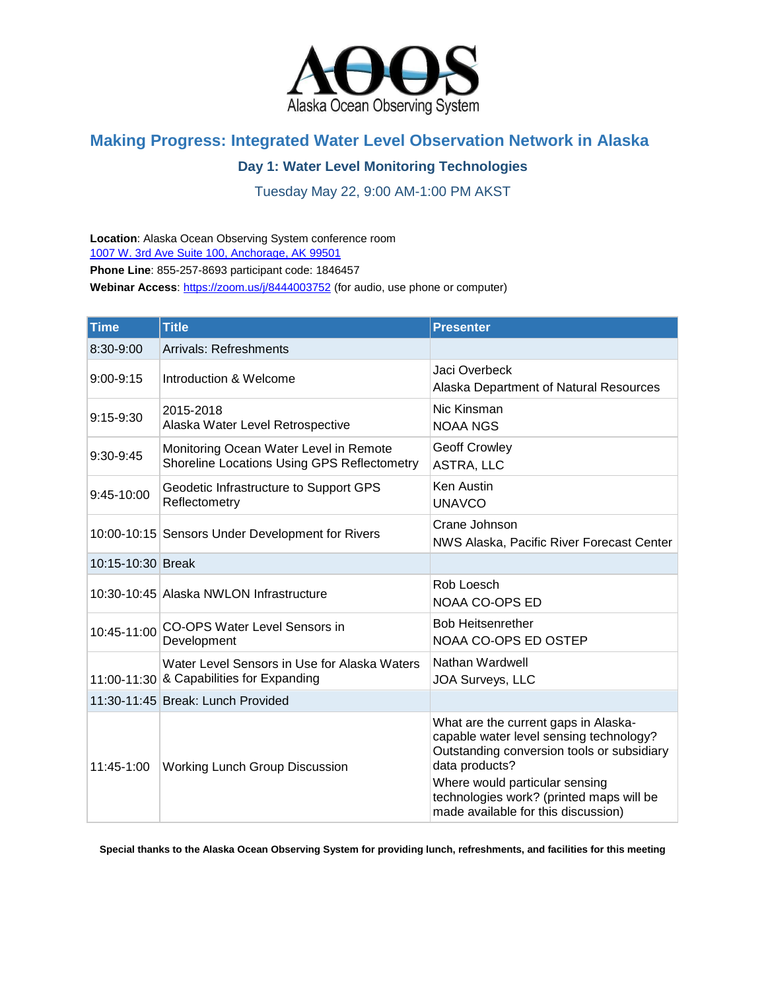

## **Making Progress: Integrated Water Level Observation Network in Alaska**

## **Day 1: Water Level Monitoring Technologies**

Tuesday May 22, 9:00 AM-1:00 PM AKST

**Location**: Alaska Ocean Observing System conference room [1007 W. 3rd Ave Suite 100, Anchorage, AK 99501](https://maps.google.com/?q=1007+W.+3rd+Ave+Suite+100,+Anchorage,+AK+99501+%0D%0APh:+907&entry=gmail&source=g)

**Phone Line**: 855-257-8693 participant code: 1846457

Webinar Access[: https://zoom.us/j/8444003752](https://zoom.us/j/8444003752) (for audio, use phone or computer)

| <b>Time</b>       | <b>Title</b>                                                                             | <b>Presenter</b>                                                                                                                                                                                                                                                     |
|-------------------|------------------------------------------------------------------------------------------|----------------------------------------------------------------------------------------------------------------------------------------------------------------------------------------------------------------------------------------------------------------------|
| 8:30-9:00         | <b>Arrivals: Refreshments</b>                                                            |                                                                                                                                                                                                                                                                      |
| $9:00 - 9:15$     | Introduction & Welcome                                                                   | Jaci Overbeck<br>Alaska Department of Natural Resources                                                                                                                                                                                                              |
| $9:15-9:30$       | 2015-2018<br>Alaska Water Level Retrospective                                            | Nic Kinsman<br><b>NOAA NGS</b>                                                                                                                                                                                                                                       |
| $9:30-9:45$       | Monitoring Ocean Water Level in Remote<br>Shoreline Locations Using GPS Reflectometry    | <b>Geoff Crowley</b><br>ASTRA, LLC                                                                                                                                                                                                                                   |
| 9:45-10:00        | Geodetic Infrastructure to Support GPS<br>Reflectometry                                  | <b>Ken Austin</b><br><b>UNAVCO</b>                                                                                                                                                                                                                                   |
|                   | 10:00-10:15 Sensors Under Development for Rivers                                         | Crane Johnson<br>NWS Alaska, Pacific River Forecast Center                                                                                                                                                                                                           |
| 10:15-10:30 Break |                                                                                          |                                                                                                                                                                                                                                                                      |
|                   | 10:30-10:45 Alaska NWLON Infrastructure                                                  | Rob Loesch<br><b>NOAA CO-OPS ED</b>                                                                                                                                                                                                                                  |
| 10:45-11:00       | <b>CO-OPS Water Level Sensors in</b><br>Development                                      | <b>Bob Heitsenrether</b><br>NOAA CO-OPS ED OSTEP                                                                                                                                                                                                                     |
|                   | Water Level Sensors in Use for Alaska Waters<br>11:00-11:30 & Capabilities for Expanding | Nathan Wardwell<br>JOA Surveys, LLC                                                                                                                                                                                                                                  |
|                   | 11:30-11:45 Break: Lunch Provided                                                        |                                                                                                                                                                                                                                                                      |
| 11:45-1:00        | Working Lunch Group Discussion                                                           | What are the current gaps in Alaska-<br>capable water level sensing technology?<br>Outstanding conversion tools or subsidiary<br>data products?<br>Where would particular sensing<br>technologies work? (printed maps will be<br>made available for this discussion) |

**Special thanks to the Alaska Ocean Observing System for providing lunch, refreshments, and facilities for this meeting**